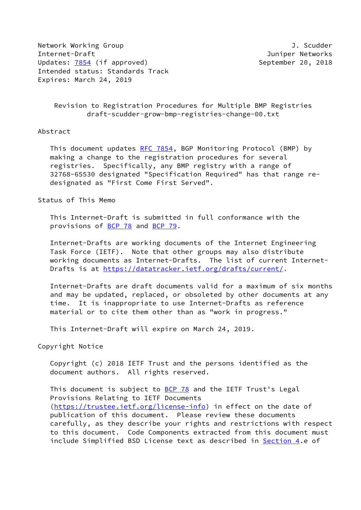Network Working Group **J. Scudder** Internet-Draft Juniper Networks Updates: [7854](https://datatracker.ietf.org/doc/pdf/rfc7854) (if approved) September 20, 2018 Intended status: Standards Track Expires: March 24, 2019

 Revision to Registration Procedures for Multiple BMP Registries draft-scudder-grow-bmp-registries-change-00.txt

## Abstract

This document updates [RFC 7854](https://datatracker.ietf.org/doc/pdf/rfc7854), BGP Monitoring Protocol (BMP) by making a change to the registration procedures for several registries. Specifically, any BMP registry with a range of 32768-65530 designated "Specification Required" has that range re designated as "First Come First Served".

## Status of This Memo

 This Internet-Draft is submitted in full conformance with the provisions of [BCP 78](https://datatracker.ietf.org/doc/pdf/bcp78) and [BCP 79](https://datatracker.ietf.org/doc/pdf/bcp79).

 Internet-Drafts are working documents of the Internet Engineering Task Force (IETF). Note that other groups may also distribute working documents as Internet-Drafts. The list of current Internet- Drafts is at<https://datatracker.ietf.org/drafts/current/>.

 Internet-Drafts are draft documents valid for a maximum of six months and may be updated, replaced, or obsoleted by other documents at any time. It is inappropriate to use Internet-Drafts as reference material or to cite them other than as "work in progress."

This Internet-Draft will expire on March 24, 2019.

Copyright Notice

 Copyright (c) 2018 IETF Trust and the persons identified as the document authors. All rights reserved.

This document is subject to **[BCP 78](https://datatracker.ietf.org/doc/pdf/bcp78)** and the IETF Trust's Legal Provisions Relating to IETF Documents [\(https://trustee.ietf.org/license-info](https://trustee.ietf.org/license-info)) in effect on the date of publication of this document. Please review these documents carefully, as they describe your rights and restrictions with respect to this document. Code Components extracted from this document must include Simplified BSD License text as described in [Section 4.](#page-2-0)e of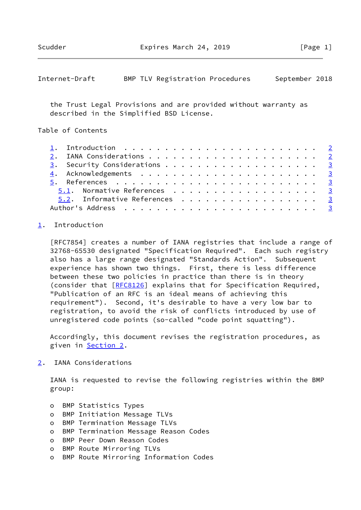<span id="page-1-1"></span>

| Internet-Draft |  |  | BMP TLV Registration Procedures |  | September 2018 |  |
|----------------|--|--|---------------------------------|--|----------------|--|
|----------------|--|--|---------------------------------|--|----------------|--|

 the Trust Legal Provisions and are provided without warranty as described in the Simplified BSD License.

Table of Contents

| 3. Security Considerations 3  |
|-------------------------------|
|                               |
|                               |
| 5.1. Normative References 3   |
| 5.2. Informative References 3 |
|                               |

## <span id="page-1-0"></span>[1](#page-1-0). Introduction

 [RFC7854] creates a number of IANA registries that include a range of 32768-65530 designated "Specification Required". Each such registry also has a large range designated "Standards Action". Subsequent experience has shown two things. First, there is less difference between these two policies in practice than there is in theory (consider that [\[RFC8126](https://datatracker.ietf.org/doc/pdf/rfc8126)] explains that for Specification Required, "Publication of an RFC is an ideal means of achieving this requirement"). Second, it's desirable to have a very low bar to registration, to avoid the risk of conflicts introduced by use of unregistered code points (so-called "code point squatting").

 Accordingly, this document revises the registration procedures, as given in [Section 2](#page-1-2).

<span id="page-1-2"></span>[2](#page-1-2). IANA Considerations

 IANA is requested to revise the following registries within the BMP group:

- o BMP Statistics Types
- o BMP Initiation Message TLVs
- o BMP Termination Message TLVs
- o BMP Termination Message Reason Codes
- o BMP Peer Down Reason Codes
- o BMP Route Mirroring TLVs
- o BMP Route Mirroring Information Codes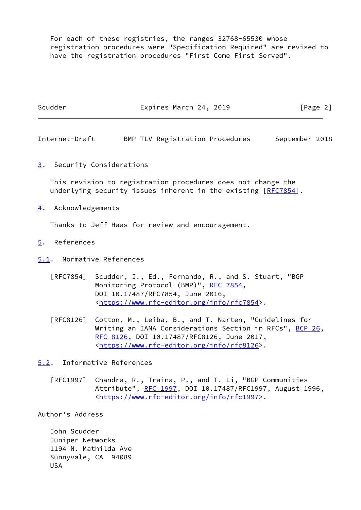For each of these registries, the ranges 32768-65530 whose registration procedures were "Specification Required" are revised to have the registration procedures "First Come First Served".

<span id="page-2-4"></span><span id="page-2-3"></span><span id="page-2-2"></span><span id="page-2-1"></span><span id="page-2-0"></span>

| Scudder                          | Expires March 24, 2019                                                                                                                                                                                                         | [Page 2]       |  |  |  |  |
|----------------------------------|--------------------------------------------------------------------------------------------------------------------------------------------------------------------------------------------------------------------------------|----------------|--|--|--|--|
| Internet-Draft                   | BMP TLV Registration Procedures                                                                                                                                                                                                | September 2018 |  |  |  |  |
|                                  | 3. Security Considerations                                                                                                                                                                                                     |                |  |  |  |  |
|                                  | This revision to registration procedures does not change the<br>underlying security issues inherent in the existing [RFC7854].                                                                                                 |                |  |  |  |  |
| 4. Acknowledgements              |                                                                                                                                                                                                                                |                |  |  |  |  |
|                                  | Thanks to Jeff Haas for review and encouragement.                                                                                                                                                                              |                |  |  |  |  |
| References<br>$\overline{5}$ .   |                                                                                                                                                                                                                                |                |  |  |  |  |
| 5.1. Normative References        |                                                                                                                                                                                                                                |                |  |  |  |  |
|                                  | [RFC7854] Scudder, J., Ed., Fernando, R., and S. Stuart, "BGP<br>Monitoring Protocol (BMP)", RFC 7854,<br>DOI 10.17487/RFC7854, June 2016,<br><https: info="" rfc7854="" www.rfc-editor.org="">.</https:>                      |                |  |  |  |  |
| [RFC8126]                        | Cotton, M., Leiba, B., and T. Narten, "Guidelines for<br>Writing an IANA Considerations Section in RFCs", BCP 26,<br>RFC 8126, DOI 10.17487/RFC8126, June 2017,<br><https: info="" rfc8126="" www.rfc-editor.org="">.</https:> |                |  |  |  |  |
|                                  | 5.2. Informative References                                                                                                                                                                                                    |                |  |  |  |  |
| $\lceil \mathsf{RFC1997} \rceil$ | Chandra, R., Traina, P., and T. Li, "BGP Communities<br>Attribute", RFC 1997, DOI 10.17487/RFC1997, August 1996,<br><https: info="" rfc1997="" www.rfc-editor.org="">.</https:>                                                |                |  |  |  |  |
| Author's Address                 |                                                                                                                                                                                                                                |                |  |  |  |  |
|                                  |                                                                                                                                                                                                                                |                |  |  |  |  |

<span id="page-2-5"></span> John Scudder Juniper Networks 1194 N. Mathilda Ave Sunnyvale, CA 94089 USA